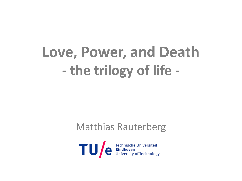# **Love, Power, and Death - the trilogy of life -**

### Matthias Rauterberg

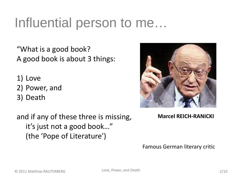## Influential person to me…

"What is a good book? A good book is about 3 things:

- 1) Love
- 2) Power, and
- 3) Death

and if any of these three is missing, it's just not a good book…" (the 'Pope of Literature')



**Marcel REICH-RANICKI**

Famous German literary critic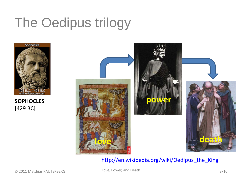# The Oedipus trilogy



**SOPHOCLES** [429 BC]



### [http://en.wikipedia.org/wiki/Oedipus\\_the\\_King](http://en.wikipedia.org/wiki/Oedipus_the_King)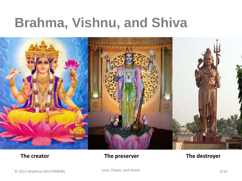## **Brahma, Vishnu, and Shiva**



### **The creator The preserver The destroyer**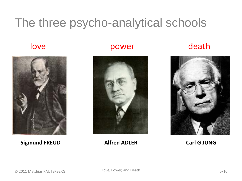### The three psycho-analytical schools







### **Sigmund FREUD Alfred ADLER Carl G JUNG**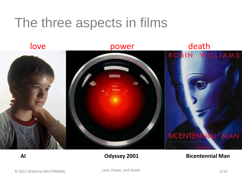## The three aspects in films



### **AI Odyssey 2001 Bicentennial Man**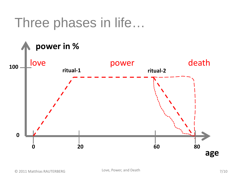### Three phases in life…

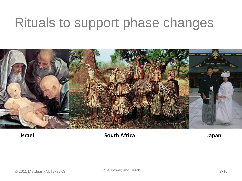## Rituals to support phase changes



### **Israel South Africa Japan**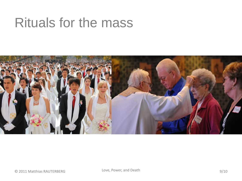## Rituals for the mass